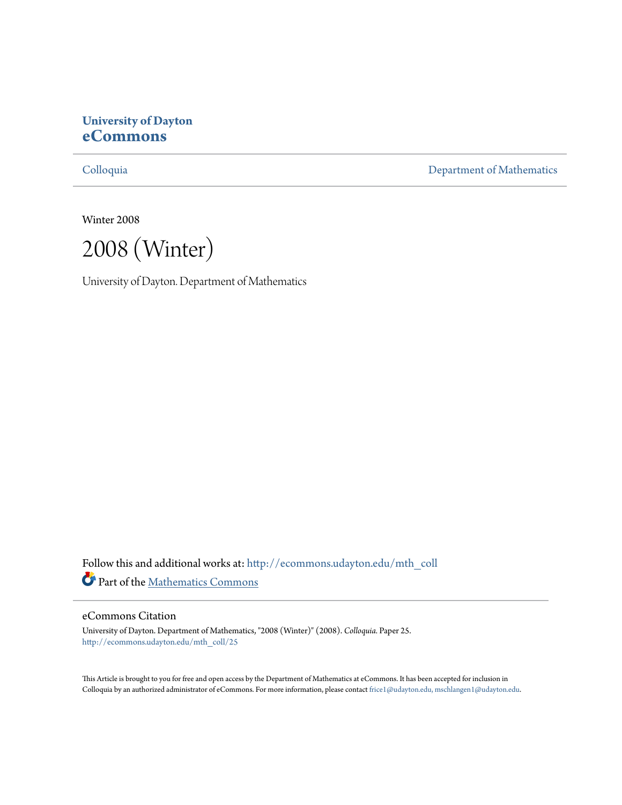# **University of Dayton [eCommons](http://ecommons.udayton.edu?utm_source=ecommons.udayton.edu%2Fmth_coll%2F25&utm_medium=PDF&utm_campaign=PDFCoverPages)**

[Colloquia](http://ecommons.udayton.edu/mth_coll?utm_source=ecommons.udayton.edu%2Fmth_coll%2F25&utm_medium=PDF&utm_campaign=PDFCoverPages) [Department of Mathematics](http://ecommons.udayton.edu/mth?utm_source=ecommons.udayton.edu%2Fmth_coll%2F25&utm_medium=PDF&utm_campaign=PDFCoverPages)

Winter 2008

2008 (Winter)

University of Dayton. Department of Mathematics

Follow this and additional works at: [http://ecommons.udayton.edu/mth\\_coll](http://ecommons.udayton.edu/mth_coll?utm_source=ecommons.udayton.edu%2Fmth_coll%2F25&utm_medium=PDF&utm_campaign=PDFCoverPages) Part of the [Mathematics Commons](http://network.bepress.com/hgg/discipline/174?utm_source=ecommons.udayton.edu%2Fmth_coll%2F25&utm_medium=PDF&utm_campaign=PDFCoverPages)

## eCommons Citation

University of Dayton. Department of Mathematics, "2008 (Winter)" (2008). *Colloquia.* Paper 25. [http://ecommons.udayton.edu/mth\\_coll/25](http://ecommons.udayton.edu/mth_coll/25?utm_source=ecommons.udayton.edu%2Fmth_coll%2F25&utm_medium=PDF&utm_campaign=PDFCoverPages)

This Article is brought to you for free and open access by the Department of Mathematics at eCommons. It has been accepted for inclusion in Colloquia by an authorized administrator of eCommons. For more information, please contact [frice1@udayton.edu, mschlangen1@udayton.edu.](mailto:frice1@udayton.edu,%20mschlangen1@udayton.edu)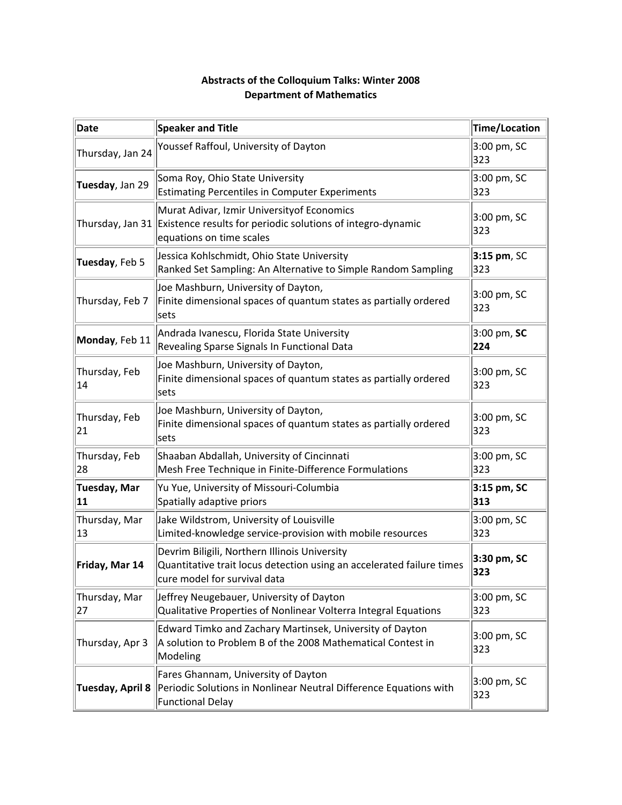| <b>Date</b>               | <b>Speaker and Title</b>                                                                                                                                | Time/Location        |
|---------------------------|---------------------------------------------------------------------------------------------------------------------------------------------------------|----------------------|
| Thursday, Jan 24          | Youssef Raffoul, University of Dayton                                                                                                                   | 3:00 pm, SC<br>323   |
| Tuesday, Jan 29           | Soma Roy, Ohio State University<br><b>Estimating Percentiles in Computer Experiments</b>                                                                | 3:00 pm, SC<br>323   |
|                           | Murat Adivar, Izmir University of Economics<br>Thursday, Jan 31 Existence results for periodic solutions of integro-dynamic<br>equations on time scales | 3:00 pm, SC<br>323   |
| Tuesday, Feb 5            | Jessica Kohlschmidt, Ohio State University<br>Ranked Set Sampling: An Alternative to Simple Random Sampling                                             | $3:15$ pm, SC<br>323 |
| Thursday, Feb 7           | Joe Mashburn, University of Dayton,<br>Finite dimensional spaces of quantum states as partially ordered<br>sets                                         | 3:00 pm, SC<br>323   |
| Monday, Feb 11            | Andrada Ivanescu, Florida State University<br>Revealing Sparse Signals In Functional Data                                                               | 3:00 pm, SC<br>224   |
| Thursday, Feb<br>14       | Joe Mashburn, University of Dayton,<br>Finite dimensional spaces of quantum states as partially ordered<br>sets                                         | 3:00 pm, SC<br>323   |
| Thursday, Feb<br>21       | Joe Mashburn, University of Dayton,<br>Finite dimensional spaces of quantum states as partially ordered<br>sets                                         | 3:00 pm, SC<br>323   |
| Thursday, Feb<br>28       | Shaaban Abdallah, University of Cincinnati<br>Mesh Free Technique in Finite-Difference Formulations                                                     | 3:00 pm, SC<br>323   |
| <b>Tuesday, Mar</b><br>11 | Yu Yue, University of Missouri-Columbia<br>Spatially adaptive priors                                                                                    | 3:15 pm, SC<br>313   |
| Thursday, Mar<br>13       | Jake Wildstrom, University of Louisville<br>Limited-knowledge service-provision with mobile resources                                                   | 3:00 pm, SC<br>323   |
| Friday, Mar 14            | Devrim Biligili, Northern Illinois University<br>Quantitative trait locus detection using an accelerated failure times<br>cure model for survival data  | 3:30 pm, SC<br>323   |
| Thursday, Mar<br>27       | Jeffrey Neugebauer, University of Dayton<br>Qualitative Properties of Nonlinear Volterra Integral Equations                                             | 3:00 pm, SC<br>323   |
| Thursday, Apr 3           | Edward Timko and Zachary Martinsek, University of Dayton<br>A solution to Problem B of the 2008 Mathematical Contest in<br>Modeling                     | 3:00 pm, SC<br>323   |
| <b>Tuesday, April 8</b>   | Fares Ghannam, University of Dayton<br>Periodic Solutions in Nonlinear Neutral Difference Equations with<br><b>Functional Delay</b>                     | 3:00 pm, SC<br>323   |

# **Abstracts of the Colloquium Talks: Winter 2008 Department of Mathematics**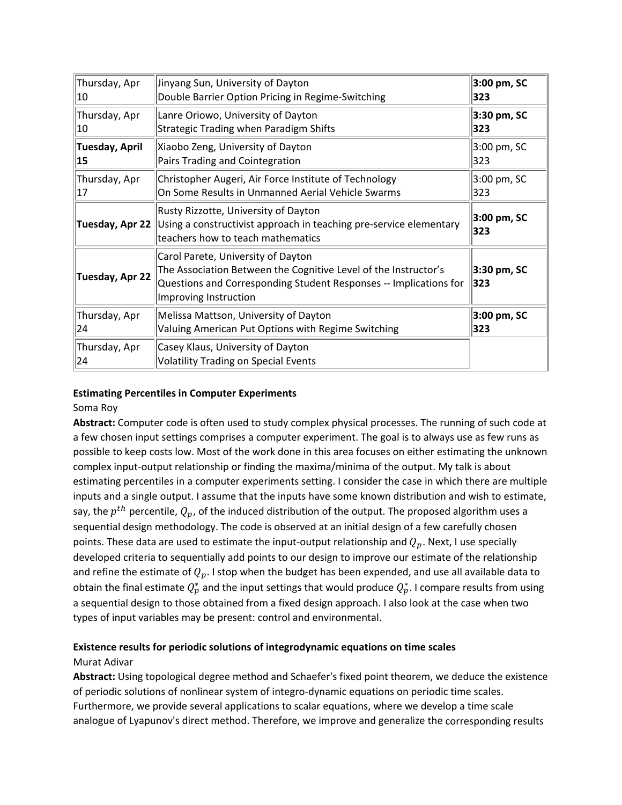| Thursday, Apr       | Jinyang Sun, University of Dayton                                                                                                                                                                   | 3:00 pm, SC                   |
|---------------------|-----------------------------------------------------------------------------------------------------------------------------------------------------------------------------------------------------|-------------------------------|
| 10                  | Double Barrier Option Pricing in Regime-Switching                                                                                                                                                   | 323                           |
| Thursday, Apr       | Lanre Oriowo, University of Dayton                                                                                                                                                                  | 3:30 pm, SC                   |
| 10                  | <b>Strategic Trading when Paradigm Shifts</b>                                                                                                                                                       | 323                           |
| Tuesday, April      | Xiaobo Zeng, University of Dayton                                                                                                                                                                   | 3:00 pm, SC                   |
| 15                  | Pairs Trading and Cointegration                                                                                                                                                                     | 323                           |
| Thursday, Apr       | Christopher Augeri, Air Force Institute of Technology                                                                                                                                               | 3:00 pm, SC                   |
| 17                  | On Some Results in Unmanned Aerial Vehicle Swarms                                                                                                                                                   | 323                           |
|                     | Rusty Rizzotte, University of Dayton<br><b>Tuesday, Apr 22</b> Using a constructivist approach in teaching pre-service elementary<br>teachers how to teach mathematics                              | $3:00 \text{ pm}$ , SC<br>323 |
| Tuesday, Apr 22     | Carol Parete, University of Dayton<br>The Association Between the Cognitive Level of the Instructor's<br>Questions and Corresponding Student Responses -- Implications for<br>Improving Instruction | $3:30$ pm, SC<br>323          |
| Thursday, Apr       | Melissa Mattson, University of Dayton                                                                                                                                                               | 3:00 pm, SC                   |
| 24                  | Valuing American Put Options with Regime Switching                                                                                                                                                  | 323                           |
| Thursday, Apr<br>24 | Casey Klaus, University of Dayton<br><b>Volatility Trading on Special Events</b>                                                                                                                    |                               |

## **Estimating Percentiles in Computer Experiments**

## Soma Roy

**Abstract:** Computer code is often used to study complex physical processes. The running of such code at a few chosen input settings comprises a computer experiment. The goal is to always use as few runs as possible to keep costs low. Most of the work done in this area focuses on either estimating the unknown complex input-output relationship or finding the maxima/minima of the output. My talk is about estimating percentiles in a computer experiments setting. I consider the case in which there are multiple inputs and a single output. I assume that the inputs have some known distribution and wish to estimate, say, the  $p^{th}$  percentile,  $Q_p$ , of the induced distribution of the output. The proposed algorithm uses a sequential design methodology. The code is observed at an initial design of a few carefully chosen points. These data are used to estimate the input-output relationship and  $Q_n$ . Next, I use specially developed criteria to sequentially add points to our design to improve our estimate of the relationship and refine the estimate of  $Q_p$ . I stop when the budget has been expended, and use all available data to obtain the final estimate  $Q_p^*$  and the input settings that would produce  $Q_p^*$ . I compare results from using a sequential design to those obtained from a fixed design approach. I also look at the case when two types of input variables may be present: control and environmental.

# **Existence results for periodic solutions of integrodynamic equations on time scales**

## Murat Adivar

**Abstract:** Using topological degree method and Schaefer's fixed point theorem, we deduce the existence of periodic solutions of nonlinear system of integro‐dynamic equations on periodic time scales. Furthermore, we provide several applications to scalar equations, where we develop a time scale analogue of Lyapunov's direct method. Therefore, we improve and generalize the corresponding results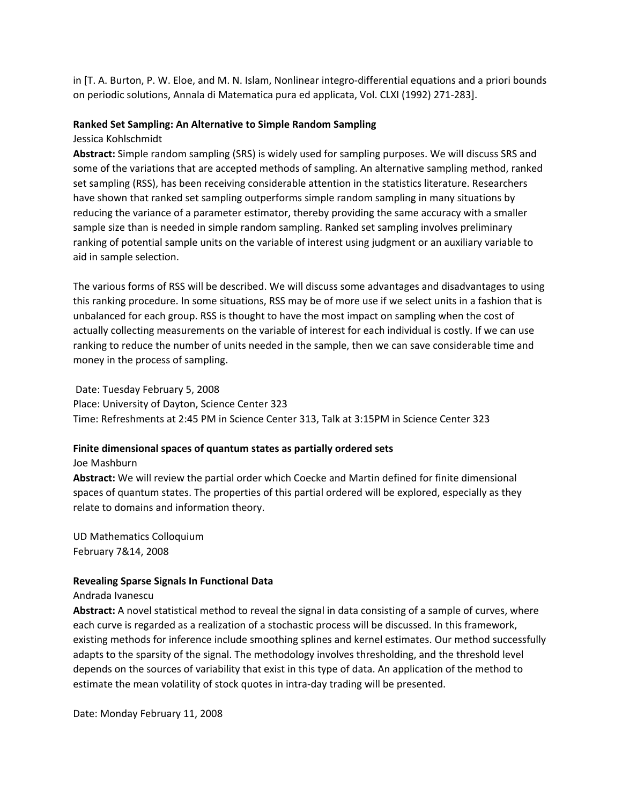in [T. A. Burton, P. W. Eloe, and M. N. Islam, Nonlinear integro‐differential equations and a priori bounds on periodic solutions, Annala di Matematica pura ed applicata, Vol. CLXI (1992) 271‐283].

## **Ranked Set Sampling: An Alternative to Simple Random Sampling**

Jessica Kohlschmidt

**Abstract:** Simple random sampling (SRS) is widely used for sampling purposes. We will discuss SRS and some of the variations that are accepted methods of sampling. An alternative sampling method, ranked set sampling (RSS), has been receiving considerable attention in the statistics literature. Researchers have shown that ranked set sampling outperforms simple random sampling in many situations by reducing the variance of a parameter estimator, thereby providing the same accuracy with a smaller sample size than is needed in simple random sampling. Ranked set sampling involves preliminary ranking of potential sample units on the variable of interest using judgment or an auxiliary variable to aid in sample selection.

The various forms of RSS will be described. We will discuss some advantages and disadvantages to using this ranking procedure. In some situations, RSS may be of more use if we select units in a fashion that is unbalanced for each group. RSS is thought to have the most impact on sampling when the cost of actually collecting measurements on the variable of interest for each individual is costly. If we can use ranking to reduce the number of units needed in the sample, then we can save considerable time and money in the process of sampling.

Date: Tuesday February 5, 2008 Place: University of Dayton, Science Center 323 Time: Refreshments at 2:45 PM in Science Center 313, Talk at 3:15PM in Science Center 323

## **Finite dimensional spaces of quantum states as partially ordered sets**

Joe Mashburn

**Abstract:** We will review the partial order which Coecke and Martin defined for finite dimensional spaces of quantum states. The properties of this partial ordered will be explored, especially as they relate to domains and information theory.

UD Mathematics Colloquium February 7&14, 2008

## **Revealing Sparse Signals In Functional Data**

## Andrada Ivanescu

**Abstract:** A novel statistical method to reveal the signal in data consisting of a sample of curves, where each curve is regarded as a realization of a stochastic process will be discussed. In this framework, existing methods for inference include smoothing splines and kernel estimates. Our method successfully adapts to the sparsity of the signal. The methodology involves thresholding, and the threshold level depends on the sources of variability that exist in this type of data. An application of the method to estimate the mean volatility of stock quotes in intra‐day trading will be presented.

Date: Monday February 11, 2008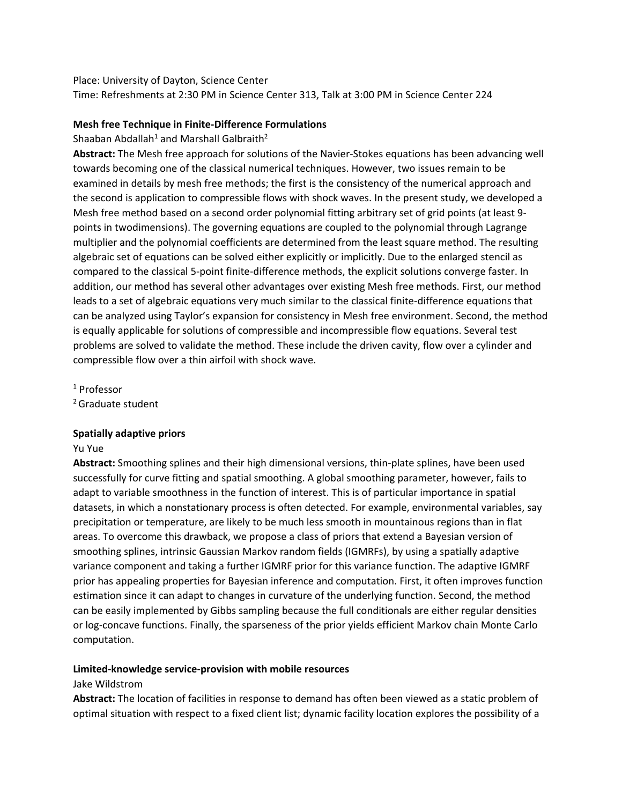Place: University of Dayton, Science Center

Time: Refreshments at 2:30 PM in Science Center 313, Talk at 3:00 PM in Science Center 224

## **Mesh free Technique in Finite‐Difference Formulations**

Shaaban Abdallah<sup>1</sup> and Marshall Galbraith<sup>2</sup>

**Abstract:** The Mesh free approach for solutions of the Navier‐Stokes equations has been advancing well towards becoming one of the classical numerical techniques. However, two issues remain to be examined in details by mesh free methods; the first is the consistency of the numerical approach and the second is application to compressible flows with shock waves. In the present study, we developed a Mesh free method based on a second order polynomial fitting arbitrary set of grid points (at least 9points in twodimensions). The governing equations are coupled to the polynomial through Lagrange multiplier and the polynomial coefficients are determined from the least square method. The resulting algebraic set of equations can be solved either explicitly or implicitly. Due to the enlarged stencil as compared to the classical 5-point finite-difference methods, the explicit solutions converge faster. In addition, our method has several other advantages over existing Mesh free methods. First, our method leads to a set of algebraic equations very much similar to the classical finite-difference equations that can be analyzed using Taylor's expansion for consistency in Mesh free environment. Second, the method is equally applicable for solutions of compressible and incompressible flow equations. Several test problems are solved to validate the method. These include the driven cavity, flow over a cylinder and compressible flow over a thin airfoil with shock wave.

<sup>1</sup> Professor

<sup>2</sup> Graduate student

## **Spatially adaptive priors**

Yu Yue

**Abstract:** Smoothing splines and their high dimensional versions, thin‐plate splines, have been used successfully for curve fitting and spatial smoothing. A global smoothing parameter, however, fails to adapt to variable smoothness in the function of interest. This is of particular importance in spatial datasets, in which a nonstationary process is often detected. For example, environmental variables, say precipitation or temperature, are likely to be much less smooth in mountainous regions than in flat areas. To overcome this drawback, we propose a class of priors that extend a Bayesian version of smoothing splines, intrinsic Gaussian Markov random fields (IGMRFs), by using a spatially adaptive variance component and taking a further IGMRF prior for this variance function. The adaptive IGMRF prior has appealing properties for Bayesian inference and computation. First, it often improves function estimation since it can adapt to changes in curvature of the underlying function. Second, the method can be easily implemented by Gibbs sampling because the full conditionals are either regular densities or log‐concave functions. Finally, the sparseness of the prior yields efficient Markov chain Monte Carlo computation.

# **Limited‐knowledge service‐provision with mobile resources**

## Jake Wildstrom

**Abstract:** The location of facilities in response to demand has often been viewed as a static problem of optimal situation with respect to a fixed client list; dynamic facility location explores the possibility of a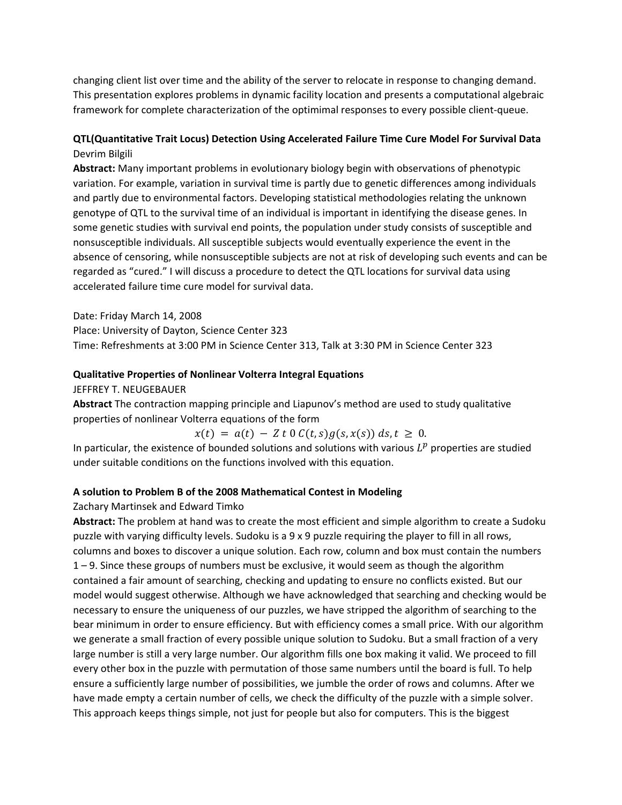changing client list over time and the ability of the server to relocate in response to changing demand. This presentation explores problems in dynamic facility location and presents a computational algebraic framework for complete characterization of the optimimal responses to every possible client‐queue.

# **QTL(Quantitative Trait Locus) Detection Using Accelerated Failure Time Cure Model For Survival Data** Devrim Bilgili

**Abstract:** Many important problems in evolutionary biology begin with observations of phenotypic variation. For example, variation in survival time is partly due to genetic differences among individuals and partly due to environmental factors. Developing statistical methodologies relating the unknown genotype of QTL to the survival time of an individual is important in identifying the disease genes. In some genetic studies with survival end points, the population under study consists of susceptible and nonsusceptible individuals. All susceptible subjects would eventually experience the event in the absence of censoring, while nonsusceptible subjects are not at risk of developing such events and can be regarded as "cured." I will discuss a procedure to detect the QTL locations for survival data using accelerated failure time cure model for survival data.

Date: Friday March 14, 2008

Place: University of Dayton, Science Center 323

Time: Refreshments at 3:00 PM in Science Center 313, Talk at 3:30 PM in Science Center 323

## **Qualitative Properties of Nonlinear Volterra Integral Equations**

JEFFREY T. NEUGEBAUER

**Abstract** The contraction mapping principle and Liapunov's method are used to study qualitative properties of nonlinear Volterra equations of the form

 $x(t) = a(t) - Z t 0 C(t,s) g(s, x(s)) ds, t \geq 0.$ 

In particular, the existence of bounded solutions and solutions with various  $L^p$  properties are studied under suitable conditions on the functions involved with this equation.

## **A solution to Problem B of the 2008 Mathematical Contest in Modeling**

## Zachary Martinsek and Edward Timko

**Abstract:** The problem at hand was to create the most efficient and simple algorithm to create a Sudoku puzzle with varying difficulty levels. Sudoku is a 9 x 9 puzzle requiring the player to fill in all rows, columns and boxes to discover a unique solution. Each row, column and box must contain the numbers 1 – 9. Since these groups of numbers must be exclusive, it would seem as though the algorithm contained a fair amount of searching, checking and updating to ensure no conflicts existed. But our model would suggest otherwise. Although we have acknowledged that searching and checking would be necessary to ensure the uniqueness of our puzzles, we have stripped the algorithm of searching to the bear minimum in order to ensure efficiency. But with efficiency comes a small price. With our algorithm we generate a small fraction of every possible unique solution to Sudoku. But a small fraction of a very large number is still a very large number. Our algorithm fills one box making it valid. We proceed to fill every other box in the puzzle with permutation of those same numbers until the board is full. To help ensure a sufficiently large number of possibilities, we jumble the order of rows and columns. After we have made empty a certain number of cells, we check the difficulty of the puzzle with a simple solver. This approach keeps things simple, not just for people but also for computers. This is the biggest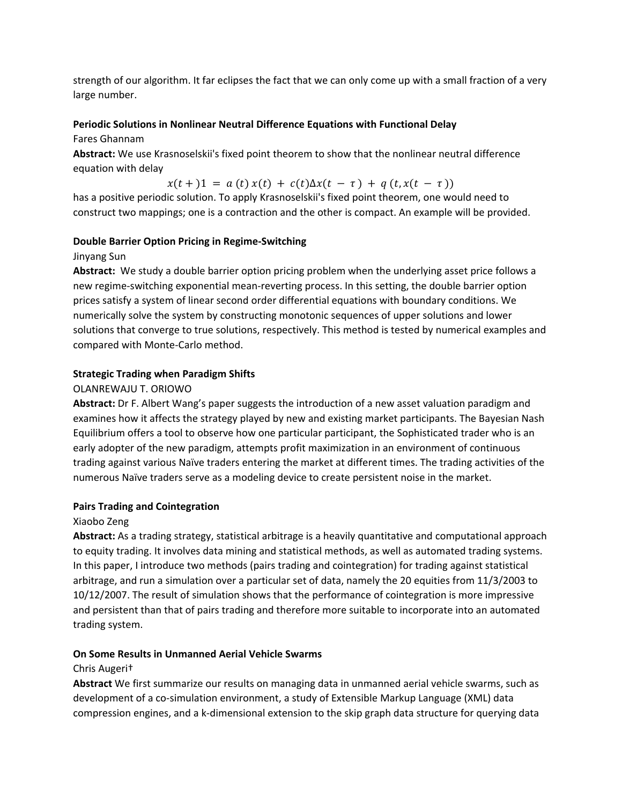strength of our algorithm. It far eclipses the fact that we can only come up with a small fraction of a very large number.

## **Periodic Solutions in Nonlinear Neutral Difference Equations with Functional Delay**

Fares Ghannam

**Abstract:** We use Krasnoselskii's fixed point theorem to show that the nonlinear neutral difference equation with delay

 $x(t+1) = a(t)x(t) + c(t)\Delta x(t-\tau) + q(t,x(t-\tau))$ 

has a positive periodic solution. To apply Krasnoselskii's fixed point theorem, one would need to construct two mappings; one is a contraction and the other is compact. An example will be provided.

## **Double Barrier Option Pricing in Regime‐Switching**

Jinyang Sun

**Abstract:** We study a double barrier option pricing problem when the underlying asset price follows a new regime‐switching exponential mean‐reverting process. In this setting, the double barrier option prices satisfy a system of linear second order differential equations with boundary conditions. We numerically solve the system by constructing monotonic sequences of upper solutions and lower solutions that converge to true solutions, respectively. This method is tested by numerical examples and compared with Monte‐Carlo method.

## **Strategic Trading when Paradigm Shifts**

## OLANREWAJU T. ORIOWO

**Abstract:** Dr F. Albert Wang's paper suggests the introduction of a new asset valuation paradigm and examines how it affects the strategy played by new and existing market participants. The Bayesian Nash Equilibrium offers a tool to observe how one particular participant, the Sophisticated trader who is an early adopter of the new paradigm, attempts profit maximization in an environment of continuous trading against various Naïve traders entering the market at different times. The trading activities of the numerous Naïve traders serve as a modeling device to create persistent noise in the market.

## **Pairs Trading and Cointegration**

## Xiaobo Zeng

**Abstract:** As a trading strategy, statistical arbitrage is a heavily quantitative and computational approach to equity trading. It involves data mining and statistical methods, as well as automated trading systems. In this paper, I introduce two methods (pairs trading and cointegration) for trading against statistical arbitrage, and run a simulation over a particular set of data, namely the 20 equities from 11/3/2003 to 10/12/2007. The result of simulation shows that the performance of cointegration is more impressive and persistent than that of pairs trading and therefore more suitable to incorporate into an automated trading system.

## **On Some Results in Unmanned Aerial Vehicle Swarms**

## Chris Augeri†

**Abstract** We first summarize our results on managing data in unmanned aerial vehicle swarms, such as development of a co-simulation environment, a study of Extensible Markup Language (XML) data compression engines, and a k‐dimensional extension to the skip graph data structure for querying data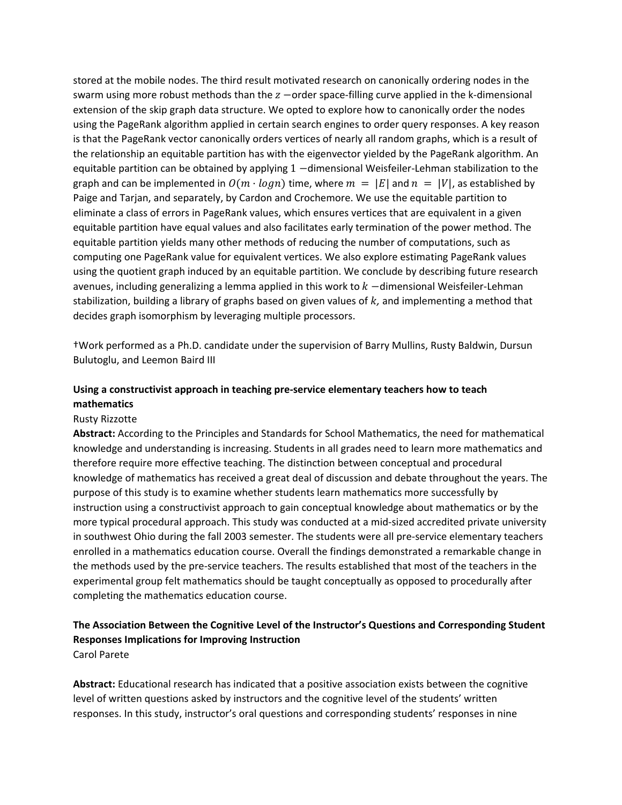stored at the mobile nodes. The third result motivated research on canonically ordering nodes in the swarm using more robust methods than the  $z$  -order space-filling curve applied in the k-dimensional extension of the skip graph data structure. We opted to explore how to canonically order the nodes using the PageRank algorithm applied in certain search engines to order query responses. A key reason is that the PageRank vector canonically orders vertices of nearly all random graphs, which is a result of the relationship an equitable partition has with the eigenvector yielded by the PageRank algorithm. An equitable partition can be obtained by applying  $1$  -dimensional Weisfeiler-Lehman stabilization to the graph and can be implemented in  $O(m \cdot log n)$  time, where  $m = |E|$  and  $n = |V|$ , as established by Paige and Tarjan, and separately, by Cardon and Crochemore. We use the equitable partition to eliminate a class of errors in PageRank values, which ensures vertices that are equivalent in a given equitable partition have equal values and also facilitates early termination of the power method. The equitable partition yields many other methods of reducing the number of computations, such as computing one PageRank value for equivalent vertices. We also explore estimating PageRank values using the quotient graph induced by an equitable partition. We conclude by describing future research avenues, including generalizing a lemma applied in this work to  $k$  –dimensional Weisfeiler-Lehman stabilization, building a library of graphs based on given values of  $k$ , and implementing a method that decides graph isomorphism by leveraging multiple processors.

†Work performed as a Ph.D. candidate under the supervision of Barry Mullins, Rusty Baldwin, Dursun Bulutoglu, and Leemon Baird III

## **Using a constructivist approach in teaching pre‐service elementary teachers how to teach mathematics**

#### Rusty Rizzotte

**Abstract:** According to the Principles and Standards for School Mathematics, the need for mathematical knowledge and understanding is increasing. Students in all grades need to learn more mathematics and therefore require more effective teaching. The distinction between conceptual and procedural knowledge of mathematics has received a great deal of discussion and debate throughout the years. The purpose of this study is to examine whether students learn mathematics more successfully by instruction using a constructivist approach to gain conceptual knowledge about mathematics or by the more typical procedural approach. This study was conducted at a mid‐sized accredited private university in southwest Ohio during the fall 2003 semester. The students were all pre-service elementary teachers enrolled in a mathematics education course. Overall the findings demonstrated a remarkable change in the methods used by the pre‐service teachers. The results established that most of the teachers in the experimental group felt mathematics should be taught conceptually as opposed to procedurally after completing the mathematics education course.

# **The Association Between the Cognitive Level of the Instructor's Questions and Corresponding Student Responses Implications for Improving Instruction**

Carol Parete

**Abstract:** Educational research has indicated that a positive association exists between the cognitive level of written questions asked by instructors and the cognitive level of the students' written responses. In this study, instructor's oral questions and corresponding students' responses in nine